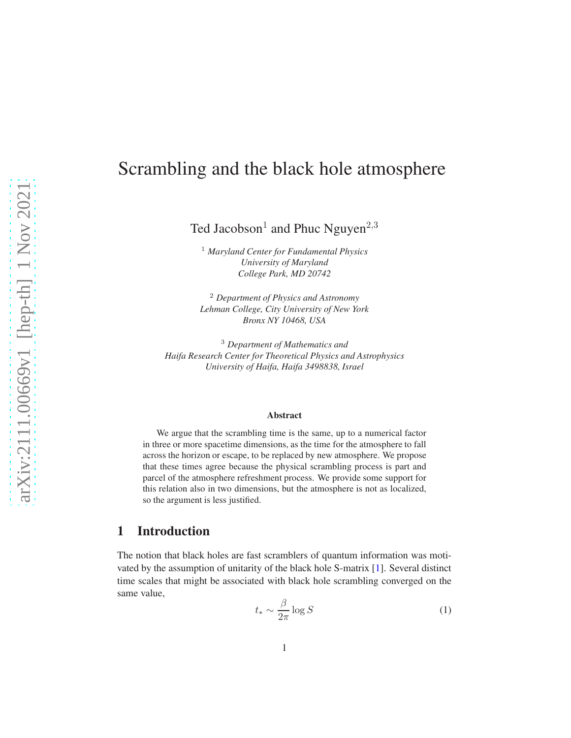# Scrambling and the black hole atmosphere

Ted Jacobson<sup>1</sup> and Phuc Nguyen<sup>2,3</sup>

<sup>1</sup> *Maryland Center for Fundamental Physics University of Maryland College Park, MD 20742*

<sup>2</sup> *Department of Physics and Astronomy Lehman College, City University of New York Bronx NY 10468, USA*

<sup>3</sup> *Department of Mathematics and Haifa Research Center for Theoretical Physics and Astrophysics University of Haifa, Haifa 3498838, Israel*

#### Abstract

We argue that the scrambling time is the same, up to a numerical factor in three or more spacetime dimensions, as the time for the atmosphere to fall across the horizon or escape, to be replaced by new atmosphere. We propose that these times agree because the physical scrambling process is part and parcel of the atmosphere refreshment process. We provide some support for this relation also in two dimensions, but the atmosphere is not as localized, so the argument is less justified.

## 1 Introduction

The notion that black holes are fast scramblers of quantum information was motivated by the assumption of unitarity of the black hole S-matrix [\[1\]](#page-10-0). Several distinct time scales that might be associated with black hole scrambling converged on the same value,

<span id="page-0-0"></span>
$$
t_* \sim \frac{\beta}{2\pi} \log S \tag{1}
$$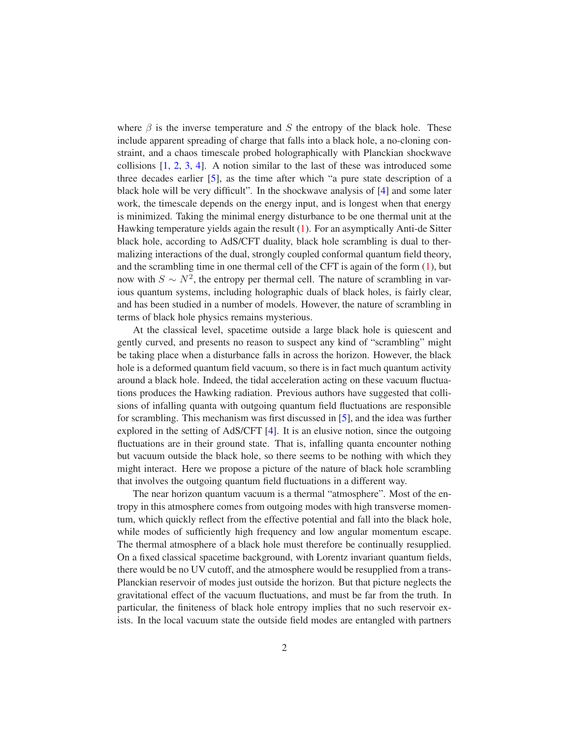where  $\beta$  is the inverse temperature and S the entropy of the black hole. These include apparent spreading of charge that falls into a black hole, a no-cloning constraint, and a chaos timescale probed holographically with Planckian shockwave collisions  $[1, 2, 3, 4]$  $[1, 2, 3, 4]$  $[1, 2, 3, 4]$  $[1, 2, 3, 4]$  $[1, 2, 3, 4]$  $[1, 2, 3, 4]$  $[1, 2, 3, 4]$ . A notion similar to the last of these was introduced some three decades earlier [\[5\]](#page-10-4), as the time after which "a pure state description of a black hole will be very difficult". In the shockwave analysis of [\[4\]](#page-10-3) and some later work, the timescale depends on the energy input, and is longest when that energy is minimized. Taking the minimal energy disturbance to be one thermal unit at the Hawking temperature yields again the result [\(1\)](#page-0-0). For an asymptically Anti-de Sitter black hole, according to AdS/CFT duality, black hole scrambling is dual to thermalizing interactions of the dual, strongly coupled conformal quantum field theory, and the scrambling time in one thermal cell of the CFT is again of the form  $(1)$ , but now with  $S \sim N^2$ , the entropy per thermal cell. The nature of scrambling in various quantum systems, including holographic duals of black holes, is fairly clear, and has been studied in a number of models. However, the nature of scrambling in terms of black hole physics remains mysterious.

At the classical level, spacetime outside a large black hole is quiescent and gently curved, and presents no reason to suspect any kind of "scrambling" might be taking place when a disturbance falls in across the horizon. However, the black hole is a deformed quantum field vacuum, so there is in fact much quantum activity around a black hole. Indeed, the tidal acceleration acting on these vacuum fluctuations produces the Hawking radiation. Previous authors have suggested that collisions of infalling quanta with outgoing quantum field fluctuations are responsible for scrambling. This mechanism was first discussed in [\[5\]](#page-10-4), and the idea was further explored in the setting of AdS/CFT [\[4\]](#page-10-3). It is an elusive notion, since the outgoing fluctuations are in their ground state. That is, infalling quanta encounter nothing but vacuum outside the black hole, so there seems to be nothing with which they might interact. Here we propose a picture of the nature of black hole scrambling that involves the outgoing quantum field fluctuations in a different way.

The near horizon quantum vacuum is a thermal "atmosphere". Most of the entropy in this atmosphere comes from outgoing modes with high transverse momentum, which quickly reflect from the effective potential and fall into the black hole, while modes of sufficiently high frequency and low angular momentum escape. The thermal atmosphere of a black hole must therefore be continually resupplied. On a fixed classical spacetime background, with Lorentz invariant quantum fields, there would be no UV cutoff, and the atmosphere would be resupplied from a trans-Planckian reservoir of modes just outside the horizon. But that picture neglects the gravitational effect of the vacuum fluctuations, and must be far from the truth. In particular, the finiteness of black hole entropy implies that no such reservoir exists. In the local vacuum state the outside field modes are entangled with partners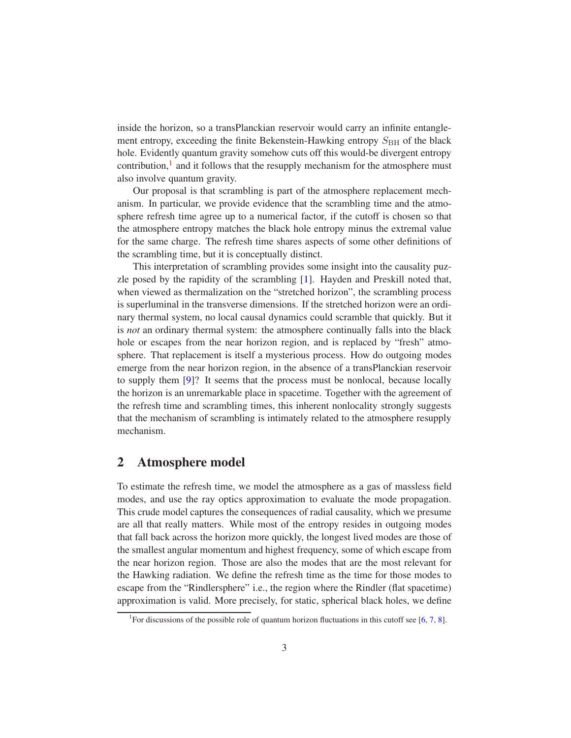inside the horizon, so a transPlanckian reservoir would carry an infinite entanglement entropy, exceeding the finite Bekenstein-Hawking entropy  $S_{\rm BH}$  of the black hole. Evidently quantum gravity somehow cuts off this would-be divergent entropy contribution,<sup>[1](#page-2-0)</sup> and it follows that the resupply mechanism for the atmosphere must also involve quantum gravity.

Our proposal is that scrambling is part of the atmosphere replacement mechanism. In particular, we provide evidence that the scrambling time and the atmosphere refresh time agree up to a numerical factor, if the cutoff is chosen so that the atmosphere entropy matches the black hole entropy minus the extremal value for the same charge. The refresh time shares aspects of some other definitions of the scrambling time, but it is conceptually distinct.

This interpretation of scrambling provides some insight into the causality puzzle posed by the rapidity of the scrambling [\[1\]](#page-10-0). Hayden and Preskill noted that, when viewed as thermalization on the "stretched horizon", the scrambling process is superluminal in the transverse dimensions. If the stretched horizon were an ordinary thermal system, no local causal dynamics could scramble that quickly. But it is *not* an ordinary thermal system: the atmosphere continually falls into the black hole or escapes from the near horizon region, and is replaced by "fresh" atmosphere. That replacement is itself a mysterious process. How do outgoing modes emerge from the near horizon region, in the absence of a transPlanckian reservoir to supply them [\[9\]](#page-10-5)? It seems that the process must be nonlocal, because locally the horizon is an unremarkable place in spacetime. Together with the agreement of the refresh time and scrambling times, this inherent nonlocality strongly suggests that the mechanism of scrambling is intimately related to the atmosphere resupply mechanism.

## 2 Atmosphere model

To estimate the refresh time, we model the atmosphere as a gas of massless field modes, and use the ray optics approximation to evaluate the mode propagation. This crude model captures the consequences of radial causality, which we presume are all that really matters. While most of the entropy resides in outgoing modes that fall back across the horizon more quickly, the longest lived modes are those of the smallest angular momentum and highest frequency, some of which escape from the near horizon region. Those are also the modes that are the most relevant for the Hawking radiation. We define the refresh time as the time for those modes to escape from the "Rindlersphere" i.e., the region where the Rindler (flat spacetime) approximation is valid. More precisely, for static, spherical black holes, we define

<span id="page-2-0"></span><sup>&</sup>lt;sup>1</sup>For discussions of the possible role of quantum horizon fluctuations in this cutoff see [\[6,](#page-10-6) [7,](#page-10-7) [8\]](#page-10-8).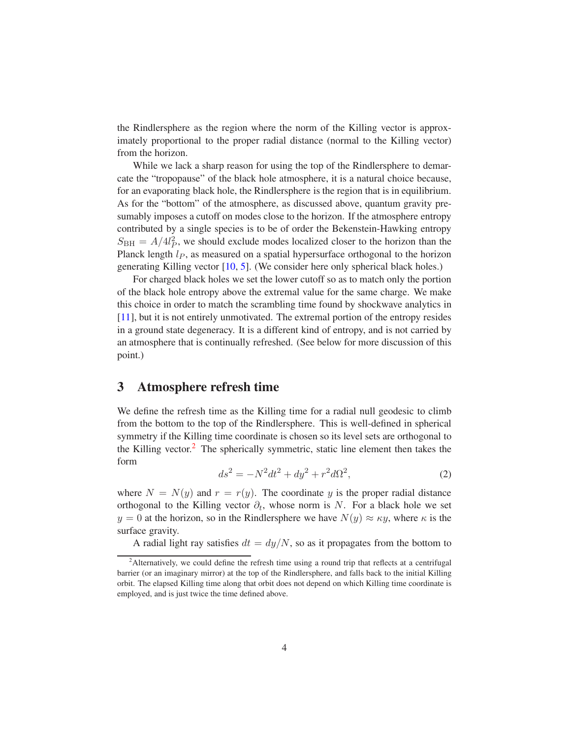the Rindlersphere as the region where the norm of the Killing vector is approximately proportional to the proper radial distance (normal to the Killing vector) from the horizon.

While we lack a sharp reason for using the top of the Rindlersphere to demarcate the "tropopause" of the black hole atmosphere, it is a natural choice because, for an evaporating black hole, the Rindlersphere is the region that is in equilibrium. As for the "bottom" of the atmosphere, as discussed above, quantum gravity presumably imposes a cutoff on modes close to the horizon. If the atmosphere entropy contributed by a single species is to be of order the Bekenstein-Hawking entropy  $S_{\text{BH}} = A/4l_P^2$ , we should exclude modes localized closer to the horizon than the Planck length  $l_p$ , as measured on a spatial hypersurface orthogonal to the horizon generating Killing vector [\[10,](#page-10-9) [5\]](#page-10-4). (We consider here only spherical black holes.)

For charged black holes we set the lower cutoff so as to match only the portion of the black hole entropy above the extremal value for the same charge. We make this choice in order to match the scrambling time found by shockwave analytics in [\[11\]](#page-10-10), but it is not entirely unmotivated. The extremal portion of the entropy resides in a ground state degeneracy. It is a different kind of entropy, and is not carried by an atmosphere that is continually refreshed. (See below for more discussion of this point.)

## 3 Atmosphere refresh time

We define the refresh time as the Killing time for a radial null geodesic to climb from the bottom to the top of the Rindlersphere. This is well-defined in spherical symmetry if the Killing time coordinate is chosen so its level sets are orthogonal to the Killing vector. $2$  The spherically symmetric, static line element then takes the form

$$
ds^2 = -N^2 dt^2 + dy^2 + r^2 d\Omega^2,
$$
\t(2)

where  $N = N(y)$  and  $r = r(y)$ . The coordinate y is the proper radial distance orthogonal to the Killing vector  $\partial_t$ , whose norm is N. For a black hole we set  $y = 0$  at the horizon, so in the Rindlersphere we have  $N(y) \approx \kappa y$ , where  $\kappa$  is the surface gravity.

A radial light ray satisfies  $dt = dy/N$ , so as it propagates from the bottom to

<span id="page-3-0"></span><sup>&</sup>lt;sup>2</sup>Alternatively, we could define the refresh time using a round trip that reflects at a centrifugal barrier (or an imaginary mirror) at the top of the Rindlersphere, and falls back to the initial Killing orbit. The elapsed Killing time along that orbit does not depend on which Killing time coordinate is employed, and is just twice the time defined above.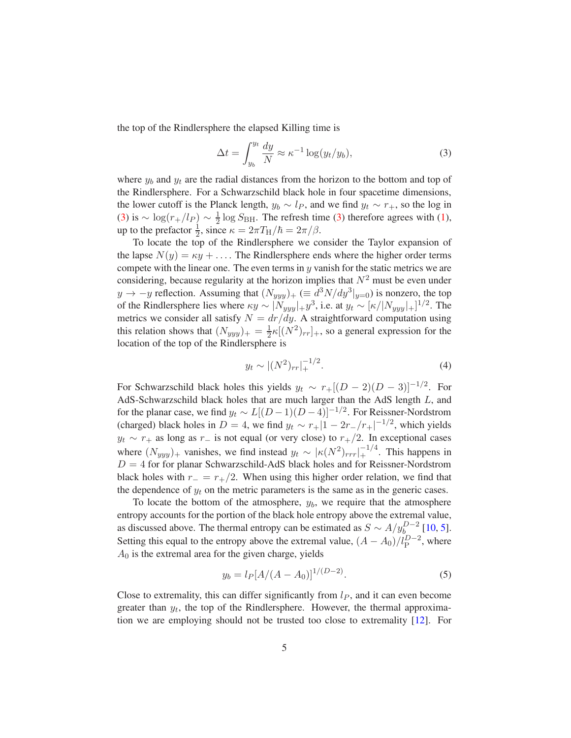the top of the Rindlersphere the elapsed Killing time is

<span id="page-4-0"></span>
$$
\Delta t = \int_{y_b}^{y_t} \frac{dy}{N} \approx \kappa^{-1} \log(y_t/y_b),\tag{3}
$$

where  $y_b$  and  $y_t$  are the radial distances from the horizon to the bottom and top of the Rindlersphere. For a Schwarzschild black hole in four spacetime dimensions, the lower cutoff is the Planck length,  $y_b \sim l_p$ , and we find  $y_t \sim r_+$ , so the log in [\(3\)](#page-4-0) is  $\sim \log(r_+/l_P) \sim \frac{1}{2}$  $\frac{1}{2}$  log  $S_{\text{BH}}$ . The refresh time [\(3\)](#page-4-0) therefore agrees with [\(1\)](#page-0-0), up to the prefactor  $\frac{1}{2}$ , since  $\kappa = 2\pi T_H/\hbar = 2\pi/\beta$ .

To locate the top of the Rindlersphere we consider the Taylor expansion of the lapse  $N(y) = \kappa y + \ldots$ . The Rindlersphere ends where the higher order terms compete with the linear one. The even terms in  $y$  vanish for the static metrics we are considering, because regularity at the horizon implies that  $N^2$  must be even under  $y \to -y$  reflection. Assuming that  $(N_{yyy})_+ \ (\equiv d^3 N/dy^3|_{y=0})$  is nonzero, the top of the Rindlersphere lies where  $\kappa y \sim |N_{yyy}| + y^3$ , i.e. at  $y_t \sim [\kappa/|N_{yyy}| +]^{1/2}$ . The metrics we consider all satisfy  $N = dr/dy$ . A straightforward computation using this relation shows that  $(N_{yyy})_+ = \frac{1}{2}$  $\frac{1}{2}\kappa[(N^2)_{rr}]_+$ , so a general expression for the location of the top of the Rindlersphere is

$$
y_t \sim |(N^2)_{rr}|_+^{-1/2}.\tag{4}
$$

For Schwarzschild black holes this yields  $y_t \sim r_+[(D-2)(D-3)]^{-1/2}$ . For AdS-Schwarzschild black holes that are much larger than the AdS length L, and for the planar case, we find  $y_t \sim L[(D-1)(D-4)]^{-1/2}$ . For Reissner-Nordstrom (charged) black holes in  $D = 4$ , we find  $y_t \sim r_+ |1 - 2r_-/r_+|^{-1/2}$ , which yields  $y_t \sim r_+$  as long as  $r_-$  is not equal (or very close) to  $r_+/2$ . In exceptional cases where  $(N_{yyy})_+$  vanishes, we find instead  $y_t \sim |\kappa(N^2)_{rrr}|_+^{-1/4}$ . This happens in  $D = 4$  for for planar Schwarzschild-AdS black holes and for Reissner-Nordstrom black holes with  $r_ - = r_+/2$ . When using this higher order relation, we find that the dependence of  $y_t$  on the metric parameters is the same as in the generic cases.

To locate the bottom of the atmosphere,  $y<sub>b</sub>$ , we require that the atmosphere entropy accounts for the portion of the black hole entropy above the extremal value, as discussed above. The thermal entropy can be estimated as  $S \sim A/y_{b_0}^{D-2}$  [\[10,](#page-10-9) [5\]](#page-10-4). Setting this equal to the entropy above the extremal value,  $(A - A_0)/l_{\rm P}^{D-2}$ , where  $A_0$  is the extremal area for the given charge, yields

<span id="page-4-1"></span>
$$
y_b = l_P [A/(A - A_0)]^{1/(D-2)}.
$$
\n(5)

Close to extremality, this can differ significantly from  $l<sub>P</sub>$ , and it can even become greater than  $y_t$ , the top of the Rindlersphere. However, the thermal approximation we are employing should not be trusted too close to extremality [\[12\]](#page-10-11). For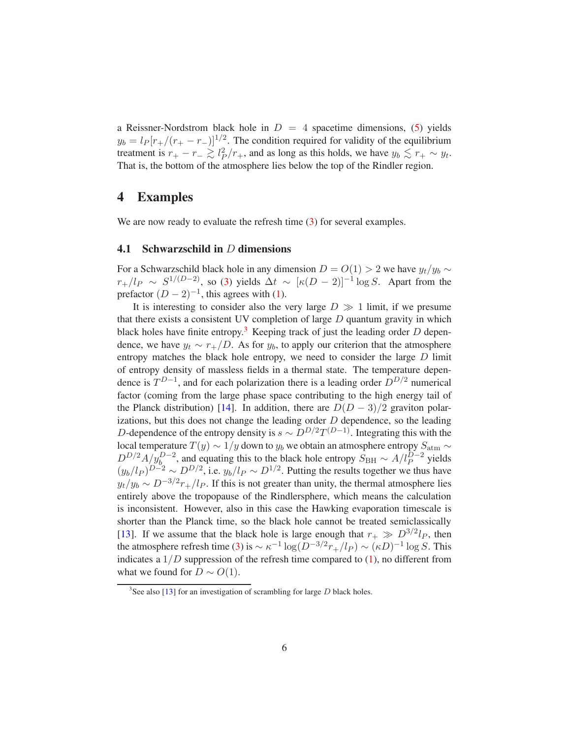a Reissner-Nordstrom black hole in  $D = 4$  spacetime dimensions, [\(5\)](#page-4-1) yields  $y_b = l_P [r_+/(r_+ - r_-)]^{1/2}$ . The condition required for validity of the equilibrium treatment is  $r_+ - r_- \gtrsim l_P^2/r_+$ , and as long as this holds, we have  $y_b \lesssim r_+ \sim y_t$ . That is, the bottom of the atmosphere lies below the top of the Rindler region.

## 4 Examples

We are now ready to evaluate the refresh time [\(3\)](#page-4-0) for several examples.

#### **4.1** Schwarzschild in  $D$  dimensions

For a Schwarzschild black hole in any dimension  $D = O(1) > 2$  we have  $y_t/y_b \sim$  $r_{+}/l_{P} \sim S^{1/(D-2)}$ , so [\(3\)](#page-4-0) yields  $\Delta t \sim [\kappa(D-2)]^{-1} \log S$ . Apart from the prefactor  $(D-2)^{-1}$ , this agrees with [\(1\)](#page-0-0).

It is interesting to consider also the very large  $D \gg 1$  limit, if we presume that there exists a consistent UV completion of large  $D$  quantum gravity in which black holes have finite entropy.<sup>[3](#page-5-0)</sup> Keeping track of just the leading order  $D$  dependence, we have  $y_t \sim r_+/D$ . As for  $y_b$ , to apply our criterion that the atmosphere entropy matches the black hole entropy, we need to consider the large D limit of entropy density of massless fields in a thermal state. The temperature dependence is  $T^{D-1}$ , and for each polarization there is a leading order  $D^{D/2}$  numerical factor (coming from the large phase space contributing to the high energy tail of the Planck distribution) [\[14\]](#page-11-0). In addition, there are  $D(D-3)/2$  graviton polarizations, but this does not change the leading order  $D$  dependence, so the leading D-dependence of the entropy density is  $s \sim D^{D/2}T^{(D-1)}$ . Integrating this with the local temperature  $T(y) \sim 1/y$  down to  $y_b$  we obtain an atmosphere entropy  $S_{\text{atm}} \sim$  $D^{D/2}A/y_D^{D-2}$ , and equating this to the black hole entropy  $S_{\rm BH} \sim A/l_P^{D-2}$  yields  $(y_b/l_P)^{D-2} \sim D^{D/2}$ , i.e.  $y_b/l_P \sim D^{1/2}$ . Putting the results together we thus have  $y_t/y_b \sim D^{-3/2}r_+/l_P$ . If this is not greater than unity, the thermal atmosphere lies entirely above the tropopause of the Rindlersphere, which means the calculation is inconsistent. However, also in this case the Hawking evaporation timescale is shorter than the Planck time, so the black hole cannot be treated semiclassically [\[13\]](#page-11-1). If we assume that the black hole is large enough that  $r_{+} \gg D^{3/2}l_{P}$ , then the atmosphere refresh time [\(3\)](#page-4-0) is  $\sim \kappa^{-1} \log(D^{-3/2} r_+/l_P) \sim (\kappa D)^{-1} \log S$ . This indicates a  $1/D$  suppression of the refresh time compared to  $(1)$ , no different from what we found for  $D \sim O(1)$ .

<span id="page-5-0"></span><sup>&</sup>lt;sup>3</sup>See also [\[13\]](#page-11-1) for an investigation of scrambling for large  $D$  black holes.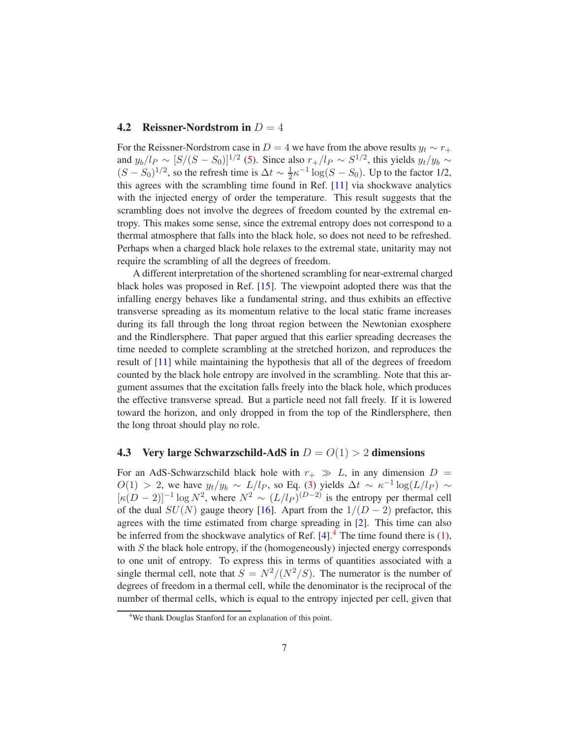#### **4.2** Reissner-Nordstrom in  $D = 4$

For the Reissner-Nordstrom case in D = 4 we have from the above results  $y_t \sim r_+$ and  $y_b/l_P \sim [S/(S - S_0)]^{1/2}$  [\(5\)](#page-4-1). Since also  $r_+/l_P \sim S^{1/2}$ , this yields  $y_t/y_b \sim$  $(S - S_0)^{1/2}$ , so the refresh time is  $\Delta t \sim \frac{1}{2}$  $\frac{1}{2} \kappa^{-1} \log (S - S_0)$ . Up to the factor 1/2, this agrees with the scrambling time found in Ref. [\[11\]](#page-10-10) via shockwave analytics with the injected energy of order the temperature. This result suggests that the scrambling does not involve the degrees of freedom counted by the extremal entropy. This makes some sense, since the extremal entropy does not correspond to a thermal atmosphere that falls into the black hole, so does not need to be refreshed. Perhaps when a charged black hole relaxes to the extremal state, unitarity may not require the scrambling of all the degrees of freedom.

A different interpretation of the shortened scrambling for near-extremal charged black holes was proposed in Ref. [\[15\]](#page-11-2). The viewpoint adopted there was that the infalling energy behaves like a fundamental string, and thus exhibits an effective transverse spreading as its momentum relative to the local static frame increases during its fall through the long throat region between the Newtonian exosphere and the Rindlersphere. That paper argued that this earlier spreading decreases the time needed to complete scrambling at the stretched horizon, and reproduces the result of [\[11\]](#page-10-10) while maintaining the hypothesis that all of the degrees of freedom counted by the black hole entropy are involved in the scrambling. Note that this argument assumes that the excitation falls freely into the black hole, which produces the effective transverse spread. But a particle need not fall freely. If it is lowered toward the horizon, and only dropped in from the top of the Rindlersphere, then the long throat should play no role.

#### 4.3 Very large Schwarzschild-AdS in  $D = O(1) > 2$  dimensions

For an AdS-Schwarzschild black hole with  $r_+ \gg L$ , in any dimension  $D =$  $O(1) > 2$ , we have  $y_t/y_b \sim L/l_P$ , so Eq. [\(3\)](#page-4-0) yields  $\Delta t \sim \kappa^{-1} \log(L/l_P) \sim$  $[\kappa(D-2)]^{-1} \log N^2$ , where  $N^2 \sim (L/l_P)^{(D-2)}$  is the entropy per thermal cell of the dual  $SU(N)$  gauge theory [\[16\]](#page-11-3). Apart from the  $1/(D-2)$  prefactor, this agrees with the time estimated from charge spreading in [\[2\]](#page-10-1). This time can also be inferred from the shockwave analytics of Ref.  $[4]$  $[4]$  $[4]$ .<sup>4</sup> The time found there is [\(1\)](#page-0-0), with  $S$  the black hole entropy, if the (homogeneously) injected energy corresponds to one unit of entropy. To express this in terms of quantities associated with a single thermal cell, note that  $S = N^2/(N^2/S)$ . The numerator is the number of degrees of freedom in a thermal cell, while the denominator is the reciprocal of the number of thermal cells, which is equal to the entropy injected per cell, given that

<span id="page-6-0"></span><sup>&</sup>lt;sup>4</sup>We thank Douglas Stanford for an explanation of this point.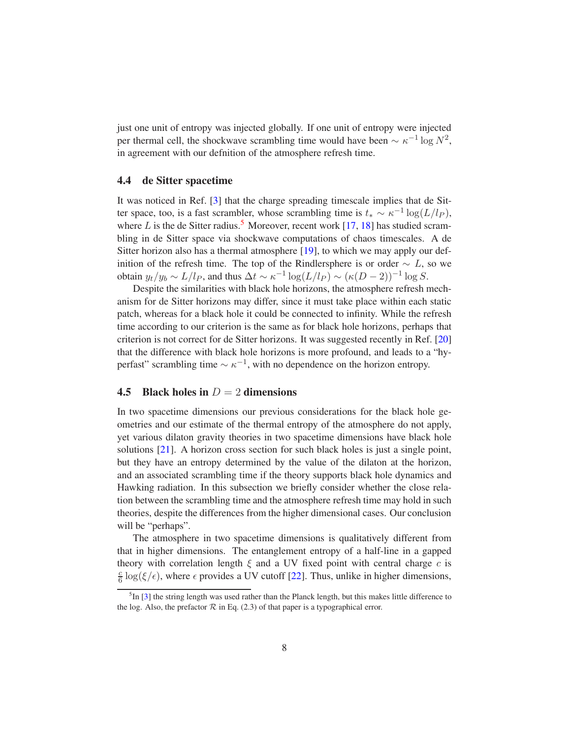just one unit of entropy was injected globally. If one unit of entropy were injected per thermal cell, the shockwave scrambling time would have been  $\sim \kappa^{-1} \log N^2$ , in agreement with our defnition of the atmosphere refresh time.

#### 4.4 de Sitter spacetime

It was noticed in Ref. [\[3\]](#page-10-2) that the charge spreading timescale implies that de Sitter space, too, is a fast scrambler, whose scrambling time is  $t_* \sim \kappa^{-1} \log(L/l_P)$ , where L is the de Sitter radius.<sup>[5](#page-7-0)</sup> Moreover, recent work [\[17,](#page-11-4) [18\]](#page-11-5) has studied scrambling in de Sitter space via shockwave computations of chaos timescales. A de Sitter horizon also has a thermal atmosphere [\[19\]](#page-11-6), to which we may apply our definition of the refresh time. The top of the Rindlersphere is or order  $\sim L$ , so we obtain  $y_t/y_b \sim L/l_P$ , and thus  $\Delta t \sim \kappa^{-1} \log(L/l_P) \sim (\kappa(D-2))^{-1} \log S$ .

Despite the similarities with black hole horizons, the atmosphere refresh mechanism for de Sitter horizons may differ, since it must take place within each static patch, whereas for a black hole it could be connected to infinity. While the refresh time according to our criterion is the same as for black hole horizons, perhaps that criterion is not correct for de Sitter horizons. It was suggested recently in Ref. [\[20\]](#page-11-7) that the difference with black hole horizons is more profound, and leads to a "hyperfast" scrambling time  $\sim \kappa^{-1}$ , with no dependence on the horizon entropy.

### 4.5 Black holes in  $D = 2$  dimensions

In two spacetime dimensions our previous considerations for the black hole geometries and our estimate of the thermal entropy of the atmosphere do not apply, yet various dilaton gravity theories in two spacetime dimensions have black hole solutions [\[21\]](#page-11-8). A horizon cross section for such black holes is just a single point, but they have an entropy determined by the value of the dilaton at the horizon, and an associated scrambling time if the theory supports black hole dynamics and Hawking radiation. In this subsection we briefly consider whether the close relation between the scrambling time and the atmosphere refresh time may hold in such theories, despite the differences from the higher dimensional cases. Our conclusion will be "perhaps".

The atmosphere in two spacetime dimensions is qualitatively different from that in higher dimensions. The entanglement entropy of a half-line in a gapped theory with correlation length  $\xi$  and a UV fixed point with central charge c is c  $\frac{c}{6}$  log( $\xi/\epsilon$ ), where  $\epsilon$  provides a UV cutoff [\[22\]](#page-11-9). Thus, unlike in higher dimensions,

<span id="page-7-0"></span> ${}^{5}$ In [\[3\]](#page-10-2) the string length was used rather than the Planck length, but this makes little difference to the log. Also, the prefactor  $\mathcal R$  in Eq. (2.3) of that paper is a typographical error.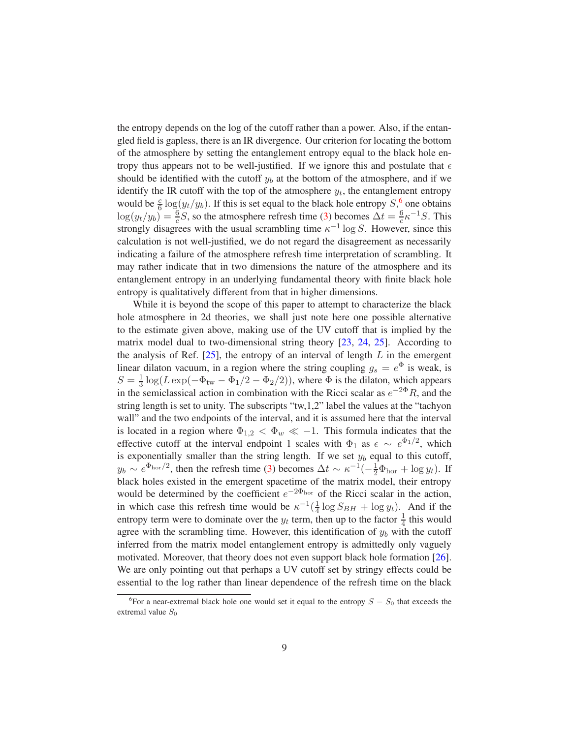the entropy depends on the log of the cutoff rather than a power. Also, if the entangled field is gapless, there is an IR divergence. Our criterion for locating the bottom of the atmosphere by setting the entanglement entropy equal to the black hole entropy thus appears not to be well-justified. If we ignore this and postulate that  $\epsilon$ should be identified with the cutoff  $y_b$  at the bottom of the atmosphere, and if we identify the IR cutoff with the top of the atmosphere  $y_t$ , the entanglement entropy would be  $\frac{c}{6} \log(y_t/y_b)$  $\frac{c}{6} \log(y_t/y_b)$  $\frac{c}{6} \log(y_t/y_b)$ . If this is set equal to the black hole entropy  $S$ , one obtains  $\log(y_t/y_b) = \frac{6}{c}S$ , so the atmosphere refresh time [\(3\)](#page-4-0) becomes  $\Delta t = \frac{6}{c}$  $\frac{6}{c} \kappa^{-1} S$ . This strongly disagrees with the usual scrambling time  $\kappa^{-1}$  log S. However, since this calculation is not well-justified, we do not regard the disagreement as necessarily indicating a failure of the atmosphere refresh time interpretation of scrambling. It may rather indicate that in two dimensions the nature of the atmosphere and its entanglement entropy in an underlying fundamental theory with finite black hole entropy is qualitatively different from that in higher dimensions.

While it is beyond the scope of this paper to attempt to characterize the black hole atmosphere in 2d theories, we shall just note here one possible alternative to the estimate given above, making use of the UV cutoff that is implied by the matrix model dual to two-dimensional string theory [\[23,](#page-11-10) [24,](#page-11-11) [25\]](#page-11-12). According to the analysis of Ref.  $[25]$ , the entropy of an interval of length  $L$  in the emergent linear dilaton vacuum, in a region where the string coupling  $g_s = e^{\Phi}$  is weak, is  $S=\frac{1}{3}$  $\frac{1}{3}$  log(Lexp( $-\Phi_{\text{tw}} - \Phi_1/2 - \Phi_2/2$ )), where  $\Phi$  is the dilaton, which appears in the semiclassical action in combination with the Ricci scalar as  $e^{-2\Phi}R$ , and the string length is set to unity. The subscripts "tw,1,2" label the values at the "tachyon wall" and the two endpoints of the interval, and it is assumed here that the interval is located in a region where  $\Phi_{1,2} < \Phi_w \ll -1$ . This formula indicates that the effective cutoff at the interval endpoint 1 scales with  $\Phi_1$  as  $\epsilon \sim e^{\Phi_1/2}$ , which is exponentially smaller than the string length. If we set  $y_b$  equal to this cutoff,  $y_b \sim e^{\Phi_{\text{hor}}/2}$ , then the refresh time [\(3\)](#page-4-0) becomes  $\Delta t \sim \kappa^{-1}(-\frac{1}{2}\Phi_{\text{hor}} + \log y_t)$ . If black holes existed in the emergent spacetime of the matrix model, their entropy would be determined by the coefficient  $e^{-2\Phi_{\text{hor}}}$  of the Ricci scalar in the action, in which case this refresh time would be  $\kappa^{-1}(\frac{1}{4})$  $\frac{1}{4} \log S_{BH} + \log y_t$ . And if the entropy term were to dominate over the  $y_t$  term, then up to the factor  $\frac{1}{4}$  this would agree with the scrambling time. However, this identification of  $y<sub>b</sub>$  with the cutoff inferred from the matrix model entanglement entropy is admittedly only vaguely motivated. Moreover, that theory does not even support black hole formation [\[26\]](#page-11-13). We are only pointing out that perhaps a UV cutoff set by stringy effects could be essential to the log rather than linear dependence of the refresh time on the black

<span id="page-8-0"></span><sup>&</sup>lt;sup>6</sup>For a near-extremal black hole one would set it equal to the entropy  $S - S_0$  that exceeds the extremal value  $S_0$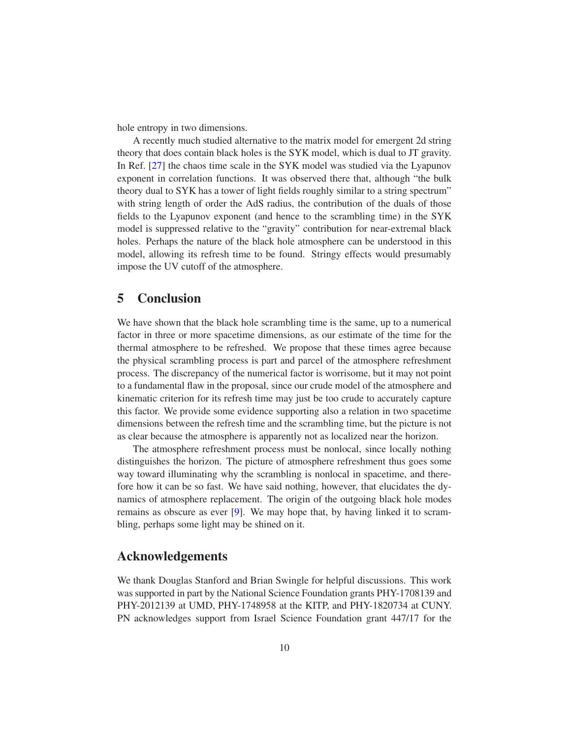hole entropy in two dimensions.

A recently much studied alternative to the matrix model for emergent 2d string theory that does contain black holes is the SYK model, which is dual to JT gravity. In Ref. [\[27\]](#page-12-0) the chaos time scale in the SYK model was studied via the Lyapunov exponent in correlation functions. It was observed there that, although "the bulk theory dual to SYK has a tower of light fields roughly similar to a string spectrum" with string length of order the AdS radius, the contribution of the duals of those fields to the Lyapunov exponent (and hence to the scrambling time) in the SYK model is suppressed relative to the "gravity" contribution for near-extremal black holes. Perhaps the nature of the black hole atmosphere can be understood in this model, allowing its refresh time to be found. Stringy effects would presumably impose the UV cutoff of the atmosphere.

## 5 Conclusion

We have shown that the black hole scrambling time is the same, up to a numerical factor in three or more spacetime dimensions, as our estimate of the time for the thermal atmosphere to be refreshed. We propose that these times agree because the physical scrambling process is part and parcel of the atmosphere refreshment process. The discrepancy of the numerical factor is worrisome, but it may not point to a fundamental flaw in the proposal, since our crude model of the atmosphere and kinematic criterion for its refresh time may just be too crude to accurately capture this factor. We provide some evidence supporting also a relation in two spacetime dimensions between the refresh time and the scrambling time, but the picture is not as clear because the atmosphere is apparently not as localized near the horizon.

The atmosphere refreshment process must be nonlocal, since locally nothing distinguishes the horizon. The picture of atmosphere refreshment thus goes some way toward illuminating why the scrambling is nonlocal in spacetime, and therefore how it can be so fast. We have said nothing, however, that elucidates the dynamics of atmosphere replacement. The origin of the outgoing black hole modes remains as obscure as ever [\[9\]](#page-10-5). We may hope that, by having linked it to scrambling, perhaps some light may be shined on it.

## Acknowledgements

We thank Douglas Stanford and Brian Swingle for helpful discussions. This work was supported in part by the National Science Foundation grants PHY-1708139 and PHY-2012139 at UMD, PHY-1748958 at the KITP, and PHY-1820734 at CUNY. PN acknowledges support from Israel Science Foundation grant 447/17 for the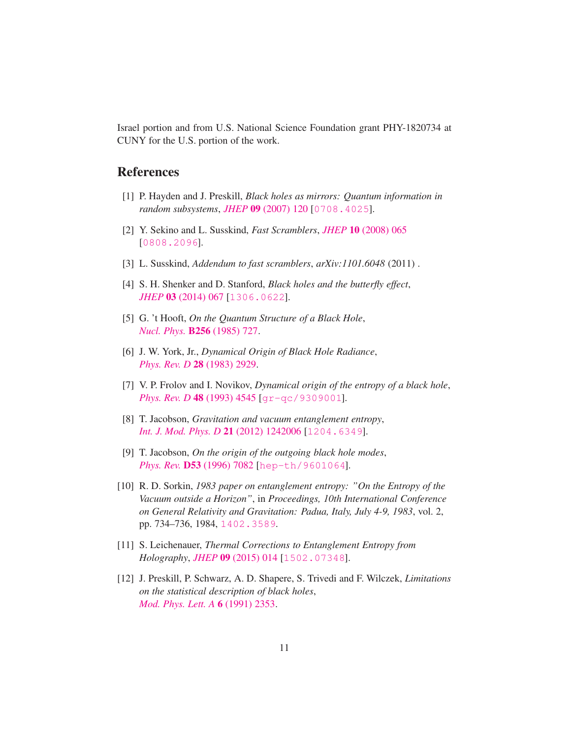Israel portion and from U.S. National Science Foundation grant PHY-1820734 at CUNY for the U.S. portion of the work.

# <span id="page-10-0"></span>**References**

- <span id="page-10-1"></span>[1] P. Hayden and J. Preskill, *Black holes as mirrors: Quantum information in random subsystems*, *JHEP* 09 [\(2007\) 120](https://doi.org/10.1088/1126-6708/2007/09/120) [[0708.4025](https://arxiv.org/abs/0708.4025)].
- <span id="page-10-2"></span>[2] Y. Sekino and L. Susskind, *Fast Scramblers*, *JHEP* 10 [\(2008\) 065](https://doi.org/10.1088/1126-6708/2008/10/065) [[0808.2096](https://arxiv.org/abs/0808.2096)].
- <span id="page-10-3"></span>[3] L. Susskind, *Addendum to fast scramblers*, *arXiv:1101.6048* (2011) .
- <span id="page-10-4"></span>[4] S. H. Shenker and D. Stanford, *Black holes and the butterfly effect*, *JHEP* 03 [\(2014\) 067](https://doi.org/10.1007/JHEP03(2014)067) [[1306.0622](https://arxiv.org/abs/1306.0622)].
- <span id="page-10-6"></span>[5] G. 't Hooft, *On the Quantum Structure of a Black Hole*, *[Nucl. Phys.](https://doi.org/10.1016/0550-3213(85)90418-3)* B256 (1985) 727.
- <span id="page-10-7"></span>[6] J. W. York, Jr., *Dynamical Origin of Black Hole Radiance*, *[Phys. Rev. D](https://doi.org/10.1103/PhysRevD.28.2929)* 28 (1983) 2929.
- <span id="page-10-8"></span>[7] V. P. Frolov and I. Novikov, *Dynamical origin of the entropy of a black hole*, *[Phys. Rev. D](https://doi.org/10.1103/PhysRevD.48.4545)* 48 (1993) 4545 [[gr-qc/9309001](https://arxiv.org/abs/gr-qc/9309001)].
- <span id="page-10-5"></span>[8] T. Jacobson, *Gravitation and vacuum entanglement entropy*, *[Int. J. Mod. Phys. D](https://doi.org/10.1142/S0218271812420060)* 21 (2012) 1242006 [[1204.6349](https://arxiv.org/abs/1204.6349)].
- [9] T. Jacobson, *On the origin of the outgoing black hole modes*, *Phys. Rev.* D53 [\(1996\) 7082](https://doi.org/10.1103/PhysRevD.53.7082) [[hep-th/9601064](https://arxiv.org/abs/hep-th/9601064)].
- <span id="page-10-9"></span>[10] R. D. Sorkin, *1983 paper on entanglement entropy: "On the Entropy of the Vacuum outside a Horizon"*, in *Proceedings, 10th International Conference on General Relativity and Gravitation: Padua, Italy, July 4-9, 1983*, vol. 2, pp. 734–736, 1984, [1402.3589](https://arxiv.org/abs/1402.3589).
- <span id="page-10-11"></span><span id="page-10-10"></span>[11] S. Leichenauer, *Thermal Corrections to Entanglement Entropy from Holography*, *JHEP* 09 [\(2015\) 014](https://doi.org/10.1007/JHEP09(2015)014) [[1502.07348](https://arxiv.org/abs/1502.07348)].
- [12] J. Preskill, P. Schwarz, A. D. Shapere, S. Trivedi and F. Wilczek, *Limitations on the statistical description of black holes*, *[Mod. Phys. Lett. A](https://doi.org/10.1142/S0217732391002773)* 6 (1991) 2353.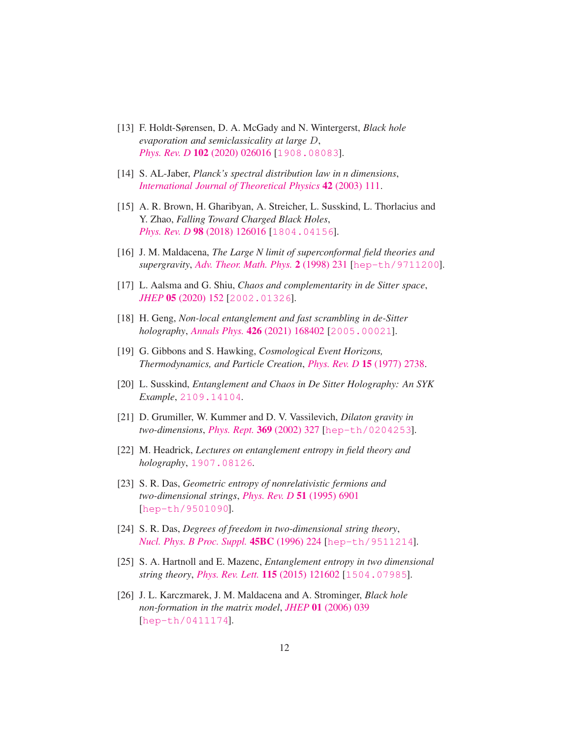- <span id="page-11-1"></span>[13] F. Holdt-Sørensen, D. A. McGady and N. Wintergerst, *Black hole evaporation and semiclassicality at large* D, *Phys. Rev. D* 102 [\(2020\) 026016](https://doi.org/10.1103/PhysRevD.102.026016) [[1908.08083](https://arxiv.org/abs/1908.08083)].
- <span id="page-11-2"></span><span id="page-11-0"></span>[14] S. AL-Jaber, *Planck's spectral distribution law in n dimensions*, *[International Journal of Theoretical Physics](https://doi.org/10.1023/A:1023391424838)* 42 (2003) 111.
- [15] A. R. Brown, H. Gharibyan, A. Streicher, L. Susskind, L. Thorlacius and Y. Zhao, *Falling Toward Charged Black Holes*, *Phys. Rev. D* 98 [\(2018\) 126016](https://doi.org/10.1103/PhysRevD.98.126016) [[1804.04156](https://arxiv.org/abs/1804.04156)].
- <span id="page-11-4"></span><span id="page-11-3"></span>[16] J. M. Maldacena, *The Large N limit of superconformal field theories and supergravity*, *[Adv. Theor. Math. Phys.](https://doi.org/10.1023/A:1026654312961)* 2 (1998) 231 [[hep-th/9711200](https://arxiv.org/abs/hep-th/9711200)].
- <span id="page-11-5"></span>[17] L. Aalsma and G. Shiu, *Chaos and complementarity in de Sitter space*, *JHEP* 05 [\(2020\) 152](https://doi.org/10.1007/JHEP05(2020)152) [[2002.01326](https://arxiv.org/abs/2002.01326)].
- <span id="page-11-6"></span>[18] H. Geng, *Non-local entanglement and fast scrambling in de-Sitter holography*, *Annals Phys.* 426 [\(2021\) 168402](https://doi.org/10.1016/j.aop.2021.168402) [[2005.00021](https://arxiv.org/abs/2005.00021)].
- <span id="page-11-7"></span>[19] G. Gibbons and S. Hawking, *Cosmological Event Horizons, Thermodynamics, and Particle Creation*, *[Phys. Rev. D](https://doi.org/10.1103/PhysRevD.15.2738)* 15 (1977) 2738.
- <span id="page-11-8"></span>[20] L. Susskind, *Entanglement and Chaos in De Sitter Holography: An SYK Example*, [2109.14104](https://arxiv.org/abs/2109.14104).
- <span id="page-11-9"></span>[21] D. Grumiller, W. Kummer and D. V. Vassilevich, *Dilaton gravity in two-dimensions*, *[Phys. Rept.](https://doi.org/10.1016/S0370-1573(02)00267-3)* 369 (2002) 327 [[hep-th/0204253](https://arxiv.org/abs/hep-th/0204253)].
- [22] M. Headrick, *Lectures on entanglement entropy in field theory and holography*, [1907.08126](https://arxiv.org/abs/1907.08126).
- <span id="page-11-10"></span>[23] S. R. Das, *Geometric entropy of nonrelativistic fermions and two-dimensional strings*, *[Phys. Rev. D](https://doi.org/10.1103/PhysRevD.51.6901)* 51 (1995) 6901 [[hep-th/9501090](https://arxiv.org/abs/hep-th/9501090)].
- <span id="page-11-12"></span><span id="page-11-11"></span>[24] S. R. Das, *Degrees of freedom in two-dimensional string theory*, *[Nucl. Phys. B Proc. Suppl.](https://doi.org/10.1016/0920-5632(95)00640-0)* 45BC (1996) 224 [[hep-th/9511214](https://arxiv.org/abs/hep-th/9511214)].
- <span id="page-11-13"></span>[25] S. A. Hartnoll and E. Mazenc, *Entanglement entropy in two dimensional string theory*, *[Phys. Rev. Lett.](https://doi.org/10.1103/PhysRevLett.115.121602)* 115 (2015) 121602 [[1504.07985](https://arxiv.org/abs/1504.07985)].
- [26] J. L. Karczmarek, J. M. Maldacena and A. Strominger, *Black hole non-formation in the matrix model*, *JHEP* 01 [\(2006\) 039](https://doi.org/10.1088/1126-6708/2006/01/039) [[hep-th/0411174](https://arxiv.org/abs/hep-th/0411174)].